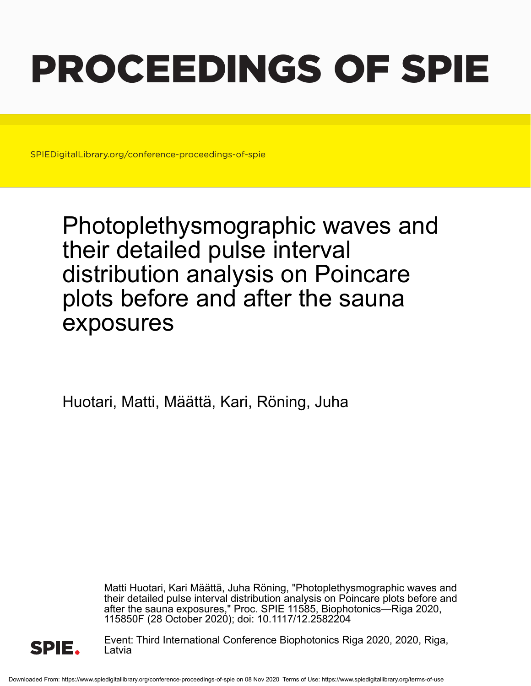# PROCEEDINGS OF SPIE

SPIEDigitalLibrary.org/conference-proceedings-of-spie

Photoplethysmographic waves and their detailed pulse interval distribution analysis on Poincare plots before and after the sauna exposures

Huotari, Matti, Määttä, Kari, Röning, Juha

Matti Huotari, Kari Määttä, Juha Röning, "Photoplethysmographic waves and their detailed pulse interval distribution analysis on Poincare plots before and after the sauna exposures," Proc. SPIE 11585, Biophotonics—Riga 2020, 115850F (28 October 2020); doi: 10.1117/12.2582204



Event: Third International Conference Biophotonics Riga 2020, 2020, Riga, Latvia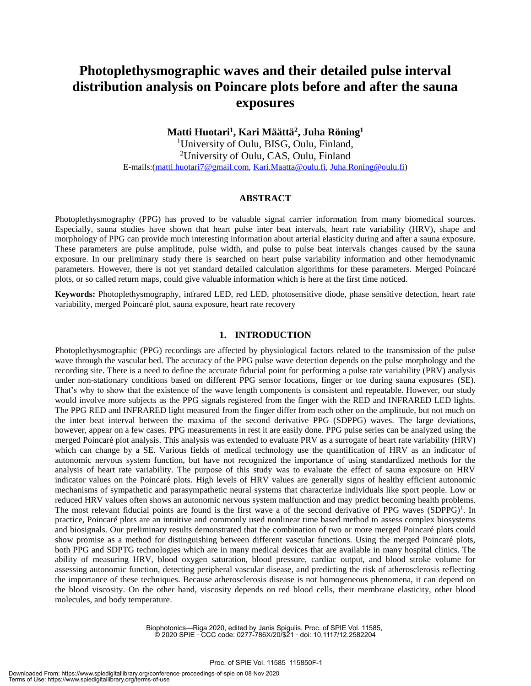# **Photoplethysmographic waves and their detailed pulse interval distribution analysis on Poincare plots before and after the sauna exposures**

**Matti Huotari<sup>1</sup> , Kari Määttä<sup>2</sup> , Juha Röning<sup>1</sup>** <sup>1</sup>University of Oulu, BISG, Oulu, Finland, <sup>2</sup>University of Oulu, CAS, Oulu, Finland E-mails:(matti.huotari7@gmail.com, Kari.Maatta@oulu.fi, Juha.Roning@oulu.fi)

## **ABSTRACT**

Photoplethysmography (PPG) has proved to be valuable signal carrier information from many biomedical sources. Especially, sauna studies have shown that heart pulse inter beat intervals, heart rate variability (HRV), shape and morphology of PPG can provide much interesting information about arterial elasticity during and after a sauna exposure. These parameters are pulse amplitude, pulse width, and pulse to pulse beat intervals changes caused by the sauna exposure. In our preliminary study there is searched on heart pulse variability information and other hemodynamic parameters. However, there is not yet standard detailed calculation algorithms for these parameters. Merged Poincaré plots, or so called return maps, could give valuable information which is here at the first time noticed.

**Keywords:** Photoplethysmography, infrared LED, red LED, photosensitive diode, phase sensitive detection, heart rate variability, merged Poincaré plot, sauna exposure, heart rate recovery

# **1. INTRODUCTION**

Photoplethysmographic (PPG) recordings are affected by physiological factors related to the transmission of the pulse wave through the vascular bed. The accuracy of the PPG pulse wave detection depends on the pulse morphology and the recording site. There is a need to define the accurate fiducial point for performing a pulse rate variability (PRV) analysis under non-stationary conditions based on different PPG sensor locations, finger or toe during sauna exposures (SE). That's why to show that the existence of the wave length components is consistent and repeatable. However, our study would involve more subjects as the PPG signals registered from the finger with the RED and INFRARED LED lights. The PPG RED and INFRARED light measured from the finger differ from each other on the amplitude, but not much on the inter beat interval between the maxima of the second derivative PPG (SDPPG) waves. The large deviations, however, appear on a few cases. PPG measurements in rest it are easily done. PPG pulse series can be analyzed using the merged Poincaré plot analysis. This analysis was extended to evaluate PRV as a surrogate of heart rate variability (HRV) which can change by a SE. Various fields of medical technology use the quantification of HRV as an indicator of autonomic nervous system function, but have not recognized the importance of using standardized methods for the analysis of heart rate variability. The purpose of this study was to evaluate the effect of sauna exposure on HRV indicator values on the Poincaré plots. High levels of HRV values are generally signs of healthy efficient autonomic mechanisms of sympathetic and parasympathetic neural systems that characterize individuals like sport people. Low or reduced HRV values often shows an autonomic nervous system malfunction and may predict becoming health problems. The most relevant fiducial points are found is the first wave a of the second derivative of PPG waves  $(SDPPG)^1$ . In practice, Poincaré plots are an intuitive and commonly used nonlinear time based method to assess complex biosystems and biosignals. Our preliminary results demonstrated that the combination of two or more merged Poincaré plots could show promise as a method for distinguishing between different vascular functions. Using the merged Poincaré plots, both PPG and SDPTG technologies which are in many medical devices that are available in many hospital clinics. The ability of measuring HRV, blood oxygen saturation, blood pressure, cardiac output, and blood stroke volume for assessing autonomic function, detecting peripheral vascular disease, and predicting the risk of atherosclerosis reflecting the importance of these techniques. Because atherosclerosis disease is not homogeneous phenomena, it can depend on the blood viscosity. On the other hand, viscosity depends on red blood cells, their membrane elasticity, other blood molecules, and body temperature.

> Biophotonics—Riga 2020, edited by Janis Spigulis, Proc. of SPIE Vol. 11585, © 2020 SPIE · CCC code: 0277-786X/20/\$21 · doi: 10.1117/12.2582204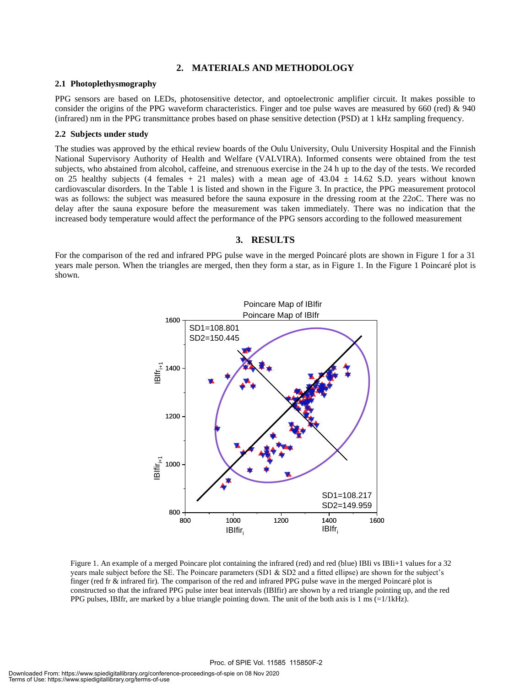# **2. MATERIALS AND METHODOLOGY**

#### **2.1 Photoplethysmography**

PPG sensors are based on LEDs, photosensitive detector, and optoelectronic amplifier circuit. It makes possible to consider the origins of the PPG waveform characteristics. Finger and toe pulse waves are measured by 660 (red) & 940 (infrared) nm in the PPG transmittance probes based on phase sensitive detection (PSD) at 1 kHz sampling frequency.

#### **2.2 Subjects under study**

The studies was approved by the ethical review boards of the Oulu University, Oulu University Hospital and the Finnish National Supervisory Authority of Health and Welfare (VALVIRA). Informed consents were obtained from the test subjects, who abstained from alcohol, caffeine, and strenuous exercise in the 24 h up to the day of the tests. We recorded on 25 healthy subjects (4 females + 21 males) with a mean age of  $43.04 \pm 14.62$  S.D. years without known cardiovascular disorders. In the Table 1 is listed and shown in the Figure 3. In practice, the PPG measurement protocol was as follows: the subject was measured before the sauna exposure in the dressing room at the 22oC. There was no delay after the sauna exposure before the measurement was taken immediately. There was no indication that the increased body temperature would affect the performance of the PPG sensors according to the followed measurement

#### **3. RESULTS**

For the comparison of the red and infrared PPG pulse wave in the merged Poincaré plots are shown in Figure 1 for a 31 years male person. When the triangles are merged, then they form a star, as in Figure 1. In the Figure 1 Poincaré plot is shown.



Figure 1. An example of a merged Poincare plot containing the infrared (red) and red (blue) IBIi vs IBIi+1 values for a 32 years male subject before the SE. The Poincare parameters (SD1 & SD2 and a fitted ellipse) are shown for the subject's finger (red fr & infrared fir). The comparison of the red and infrared PPG pulse wave in the merged Poincaré plot is constructed so that the infrared PPG pulse inter beat intervals (IBIfir) are shown by a red triangle pointing up, and the red PPG pulses, IBIfr, are marked by a blue triangle pointing down. The unit of the both axis is 1 ms  $(=1/1kHz)$ .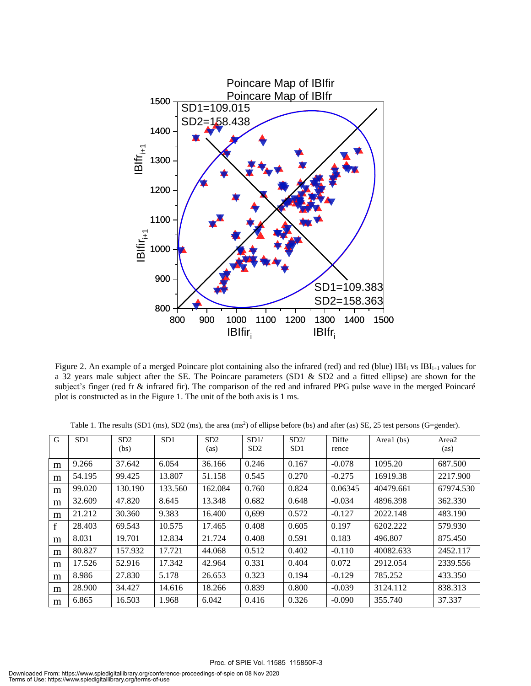

Figure 2. An example of a merged Poincare plot containing also the infrared (red) and red (blue) IBI<sub>i</sub> vs IBI<sub>i+1</sub> values for a 32 years male subject after the SE. The Poincare parameters (SD1 & SD2 and a fitted ellipse) are shown for the subject's finger (red fr & infrared fir). The comparison of the red and infrared PPG pulse wave in the merged Poincaré plot is constructed as in the Figure 1. The unit of the both axis is 1 ms.

| G | SD <sub>1</sub> | SD2<br>(bs) | SD <sub>1</sub> | SD2<br>(as) | SD1/<br>SD2 | SD2/<br>SD1 | Diffe<br>rence | Areal (bs) | Area <sub>2</sub><br>(as) |
|---|-----------------|-------------|-----------------|-------------|-------------|-------------|----------------|------------|---------------------------|
| m | 9.266           | 37.642      | 6.054           | 36.166      | 0.246       | 0.167       | $-0.078$       | 1095.20    | 687.500                   |
| m | 54.195          | 99.425      | 13.807          | 51.158      | 0.545       | 0.270       | $-0.275$       | 16919.38   | 2217.900                  |
| m | 99.020          | 130.190     | 133.560         | 162.084     | 0.760       | 0.824       | 0.06345        | 40479.661  | 67974.530                 |
| m | 32.609          | 47.820      | 8.645           | 13.348      | 0.682       | 0.648       | $-0.034$       | 4896.398   | 362.330                   |
| m | 21.212          | 30.360      | 9.383           | 16.400      | 0.699       | 0.572       | $-0.127$       | 2022.148   | 483.190                   |
|   | 28.403          | 69.543      | 10.575          | 17.465      | 0.408       | 0.605       | 0.197          | 6202.222   | 579.930                   |
| m | 8.031           | 19.701      | 12.834          | 21.724      | 0.408       | 0.591       | 0.183          | 496.807    | 875.450                   |
| m | 80.827          | 157.932     | 17.721          | 44.068      | 0.512       | 0.402       | $-0.110$       | 40082.633  | 2452.117                  |
| m | 17.526          | 52.916      | 17.342          | 42.964      | 0.331       | 0.404       | 0.072          | 2912.054   | 2339.556                  |
| m | 8.986           | 27.830      | 5.178           | 26.653      | 0.323       | 0.194       | $-0.129$       | 785.252    | 433.350                   |
| m | 28.900          | 34.427      | 14.616          | 18.266      | 0.839       | 0.800       | $-0.039$       | 3124.112   | 838.313                   |
| m | 6.865           | 16.503      | 1.968           | 6.042       | 0.416       | 0.326       | $-0.090$       | 355.740    | 37.337                    |

Table 1. The results (SD1 (ms), SD2 (ms), the area (ms<sup>2</sup>) of ellipse before (bs) and after (as) SE, 25 test persons (G=gender).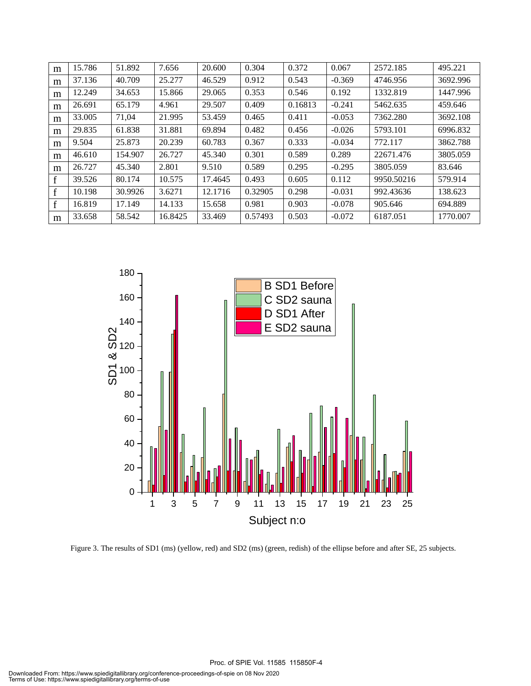| m | 15.786 | 51.892  | 7.656   | 20.600  | 0.304   | 0.372   | 0.067    | 2572.185   | 495.221  |
|---|--------|---------|---------|---------|---------|---------|----------|------------|----------|
| m | 37.136 | 40.709  | 25.277  | 46.529  | 0.912   | 0.543   | $-0.369$ | 4746.956   | 3692.996 |
| m | 12.249 | 34.653  | 15.866  | 29.065  | 0.353   | 0.546   | 0.192    | 1332.819   | 1447.996 |
| m | 26.691 | 65.179  | 4.961   | 29.507  | 0.409   | 0.16813 | $-0.241$ | 5462.635   | 459.646  |
| m | 33.005 | 71.04   | 21.995  | 53.459  | 0.465   | 0.411   | $-0.053$ | 7362.280   | 3692.108 |
| m | 29.835 | 61.838  | 31.881  | 69.894  | 0.482   | 0.456   | $-0.026$ | 5793.101   | 6996.832 |
| m | 9.504  | 25.873  | 20.239  | 60.783  | 0.367   | 0.333   | $-0.034$ | 772.117    | 3862.788 |
| m | 46.610 | 154.907 | 26.727  | 45.340  | 0.301   | 0.589   | 0.289    | 22671.476  | 3805.059 |
| m | 26.727 | 45.340  | 2.801   | 9.510   | 0.589   | 0.295   | $-0.295$ | 3805.059   | 83.646   |
| f | 39.526 | 80.174  | 10.575  | 17.4645 | 0.493   | 0.605   | 0.112    | 9950.50216 | 579.914  |
| f | 10.198 | 30.9926 | 3.6271  | 12.1716 | 0.32905 | 0.298   | $-0.031$ | 992.43636  | 138.623  |
| f | 16.819 | 17.149  | 14.133  | 15.658  | 0.981   | 0.903   | $-0.078$ | 905.646    | 694.889  |
| m | 33.658 | 58.542  | 16.8425 | 33.469  | 0.57493 | 0.503   | $-0.072$ | 6187.051   | 1770.007 |



Figure 3. The results of SD1 (ms) (yellow, red) and SD2 (ms) (green, redish) of the ellipse before and after SE, 25 subjects.